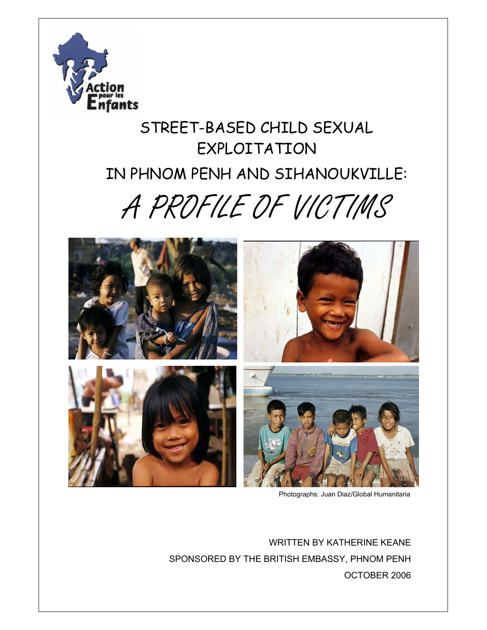

# STREET-BASED CHILD SEXUAL EXPLOITATION IN PHNOM PENH AND SIHANOUKVILLE:

# A PROFILE OF VICTIMS



Photographs: Juan Diaz/Global Humanitaria

WRITTEN BY KATHERINE KEANE SPONSORED BY THE BRITISH EMBASSY, PHNOM PENH OCTOBER 2006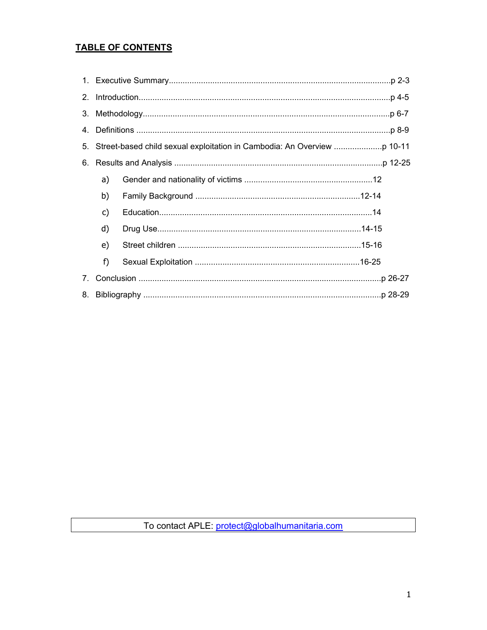# **TABLE OF CONTENTS**

| 2 <sub>1</sub> |                                                                            |  |  |  |
|----------------|----------------------------------------------------------------------------|--|--|--|
|                |                                                                            |  |  |  |
| 4.             |                                                                            |  |  |  |
|                | 5. Street-based child sexual exploitation in Cambodia: An Overview p 10-11 |  |  |  |
|                |                                                                            |  |  |  |
|                | a)                                                                         |  |  |  |
|                | b)                                                                         |  |  |  |
|                | c)                                                                         |  |  |  |
|                | d)                                                                         |  |  |  |
|                | e)                                                                         |  |  |  |
|                | f)                                                                         |  |  |  |
| 7 <sub>1</sub> |                                                                            |  |  |  |
| 8.             |                                                                            |  |  |  |

To contact APLE: protect@globalhumanitaria.com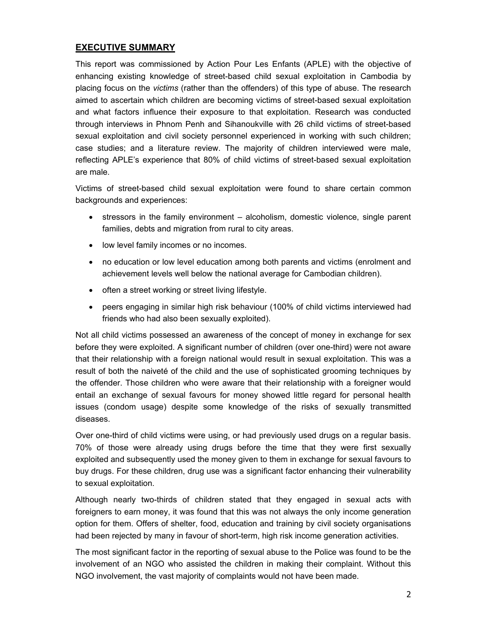# **EXECUTIVE SUMMARY**

This report was commissioned by Action Pour Les Enfants (APLE) with the objective of enhancing existing knowledge of street-based child sexual exploitation in Cambodia by placing focus on the *victims* (rather than the offenders) of this type of abuse. The research aimed to ascertain which children are becoming victims of street-based sexual exploitation and what factors influence their exposure to that exploitation. Research was conducted through interviews in Phnom Penh and Sihanoukville with 26 child victims of street-based sexual exploitation and civil society personnel experienced in working with such children; case studies; and a literature review. The majority of children interviewed were male, reflecting APLE's experience that 80% of child victims of street-based sexual exploitation are male.

Victims of street-based child sexual exploitation were found to share certain common backgrounds and experiences:

- stressors in the family environment alcoholism, domestic violence, single parent families, debts and migration from rural to city areas.
- low level family incomes or no incomes.
- no education or low level education among both parents and victims (enrolment and achievement levels well below the national average for Cambodian children).
- often a street working or street living lifestyle.
- peers engaging in similar high risk behaviour (100% of child victims interviewed had friends who had also been sexually exploited).

Not all child victims possessed an awareness of the concept of money in exchange for sex before they were exploited. A significant number of children (over one-third) were not aware that their relationship with a foreign national would result in sexual exploitation. This was a result of both the naiveté of the child and the use of sophisticated grooming techniques by the offender. Those children who were aware that their relationship with a foreigner would entail an exchange of sexual favours for money showed little regard for personal health issues (condom usage) despite some knowledge of the risks of sexually transmitted diseases.

Over one-third of child victims were using, or had previously used drugs on a regular basis. 70% of those were already using drugs before the time that they were first sexually exploited and subsequently used the money given to them in exchange for sexual favours to buy drugs. For these children, drug use was a significant factor enhancing their vulnerability to sexual exploitation.

Although nearly two-thirds of children stated that they engaged in sexual acts with foreigners to earn money, it was found that this was not always the only income generation option for them. Offers of shelter, food, education and training by civil society organisations had been rejected by many in favour of short-term, high risk income generation activities.

The most significant factor in the reporting of sexual abuse to the Police was found to be the involvement of an NGO who assisted the children in making their complaint. Without this NGO involvement, the vast majority of complaints would not have been made.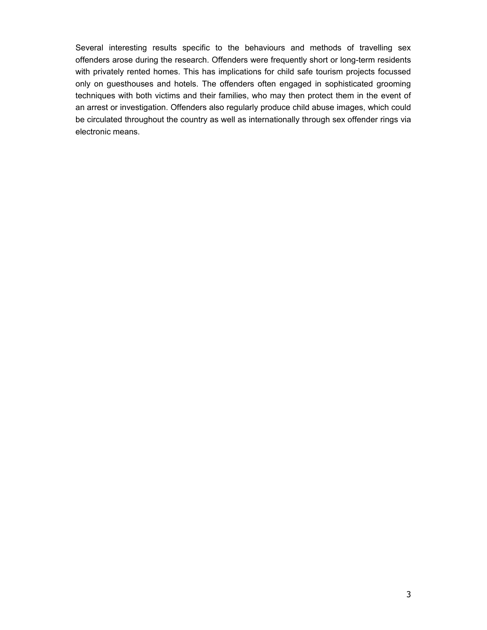Several interesting results specific to the behaviours and methods of travelling sex offenders arose during the research. Offenders were frequently short or long-term residents with privately rented homes. This has implications for child safe tourism projects focussed only on guesthouses and hotels. The offenders often engaged in sophisticated grooming techniques with both victims and their families, who may then protect them in the event of an arrest or investigation. Offenders also regularly produce child abuse images, which could be circulated throughout the country as well as internationally through sex offender rings via electronic means.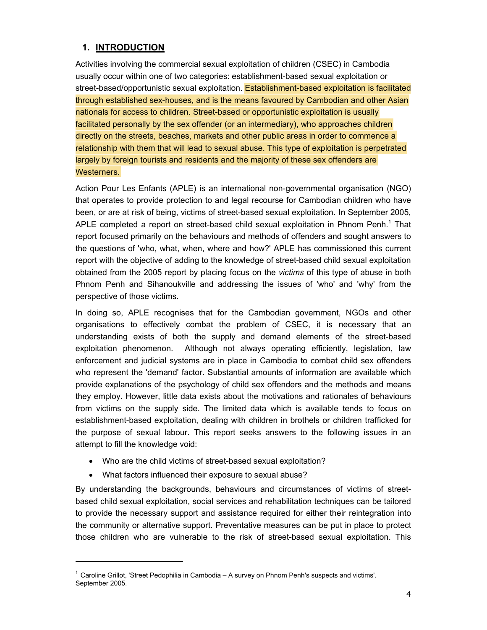# **1. INTRODUCTION**

Activities involving the commercial sexual exploitation of children (CSEC) in Cambodia usually occur within one of two categories: establishment-based sexual exploitation or street-based/opportunistic sexual exploitation. Establishment-based exploitation is facilitated through established sex-houses, and is the means favoured by Cambodian and other Asian nationals for access to children. Street-based or opportunistic exploitation is usually facilitated personally by the sex offender (or an intermediary), who approaches children directly on the streets, beaches, markets and other public areas in order to commence a relationship with them that will lead to sexual abuse. This type of exploitation is perpetrated largely by foreign tourists and residents and the majority of these sex offenders are Westerners.

Action Pour Les Enfants (APLE) is an international non-governmental organisation (NGO) that operates to provide protection to and legal recourse for Cambodian children who have been, or are at risk of being, victims of street-based sexual exploitation. In September 2005, APLE completed a report on street-based child sexual exploitation in Phnom Penh.<sup>1</sup> That report focused primarily on the behaviours and methods of offenders and sought answers to the questions of 'who, what, when, where and how?' APLE has commissioned this current report with the objective of adding to the knowledge of street-based child sexual exploitation obtained from the 2005 report by placing focus on the *victims* of this type of abuse in both Phnom Penh and Sihanoukville and addressing the issues of 'who' and 'why' from the perspective of those victims.

In doing so, APLE recognises that for the Cambodian government, NGOs and other organisations to effectively combat the problem of CSEC, it is necessary that an understanding exists of both the supply and demand elements of the street-based exploitation phenomenon. Although not always operating efficiently, legislation, law enforcement and judicial systems are in place in Cambodia to combat child sex offenders who represent the 'demand' factor. Substantial amounts of information are available which provide explanations of the psychology of child sex offenders and the methods and means they employ. However, little data exists about the motivations and rationales of behaviours from victims on the supply side. The limited data which is available tends to focus on establishment-based exploitation, dealing with children in brothels or children trafficked for the purpose of sexual labour. This report seeks answers to the following issues in an attempt to fill the knowledge void:

- Who are the child victims of street-based sexual exploitation?
- What factors influenced their exposure to sexual abuse?

-

By understanding the backgrounds, behaviours and circumstances of victims of streetbased child sexual exploitation, social services and rehabilitation techniques can be tailored to provide the necessary support and assistance required for either their reintegration into the community or alternative support. Preventative measures can be put in place to protect those children who are vulnerable to the risk of street-based sexual exploitation. This

 $<sup>1</sup>$  Caroline Grillot, 'Street Pedophilia in Cambodia – A survey on Phnom Penh's suspects and victims'.</sup> September 2005.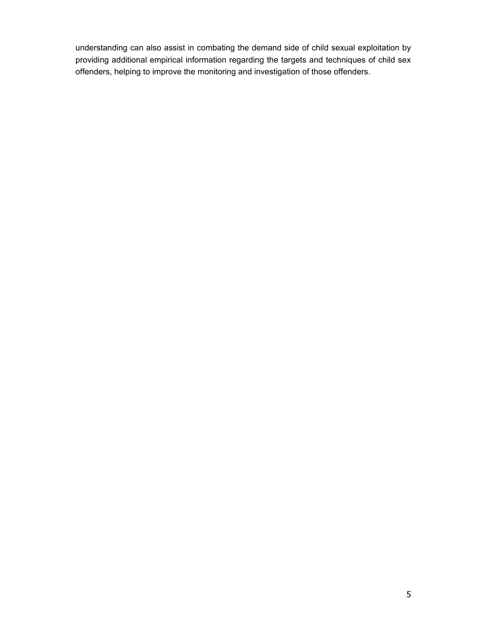understanding can also assist in combating the demand side of child sexual exploitation by providing additional empirical information regarding the targets and techniques of child sex offenders, helping to improve the monitoring and investigation of those offenders.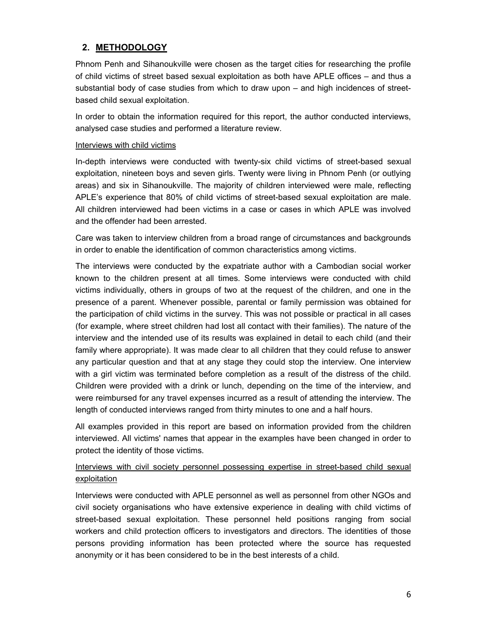# **2. METHODOLOGY**

Phnom Penh and Sihanoukville were chosen as the target cities for researching the profile of child victims of street based sexual exploitation as both have APLE offices – and thus a substantial body of case studies from which to draw upon – and high incidences of streetbased child sexual exploitation.

In order to obtain the information required for this report, the author conducted interviews, analysed case studies and performed a literature review.

#### Interviews with child victims

In-depth interviews were conducted with twenty-six child victims of street-based sexual exploitation, nineteen boys and seven girls. Twenty were living in Phnom Penh (or outlying areas) and six in Sihanoukville. The majority of children interviewed were male, reflecting APLE's experience that 80% of child victims of street-based sexual exploitation are male. All children interviewed had been victims in a case or cases in which APLE was involved and the offender had been arrested.

Care was taken to interview children from a broad range of circumstances and backgrounds in order to enable the identification of common characteristics among victims.

The interviews were conducted by the expatriate author with a Cambodian social worker known to the children present at all times. Some interviews were conducted with child victims individually, others in groups of two at the request of the children, and one in the presence of a parent. Whenever possible, parental or family permission was obtained for the participation of child victims in the survey. This was not possible or practical in all cases (for example, where street children had lost all contact with their families). The nature of the interview and the intended use of its results was explained in detail to each child (and their family where appropriate). It was made clear to all children that they could refuse to answer any particular question and that at any stage they could stop the interview. One interview with a girl victim was terminated before completion as a result of the distress of the child. Children were provided with a drink or lunch, depending on the time of the interview, and were reimbursed for any travel expenses incurred as a result of attending the interview. The length of conducted interviews ranged from thirty minutes to one and a half hours.

All examples provided in this report are based on information provided from the children interviewed. All victims' names that appear in the examples have been changed in order to protect the identity of those victims.

# Interviews with civil society personnel possessing expertise in street-based child sexual exploitation

Interviews were conducted with APLE personnel as well as personnel from other NGOs and civil society organisations who have extensive experience in dealing with child victims of street-based sexual exploitation. These personnel held positions ranging from social workers and child protection officers to investigators and directors. The identities of those persons providing information has been protected where the source has requested anonymity or it has been considered to be in the best interests of a child.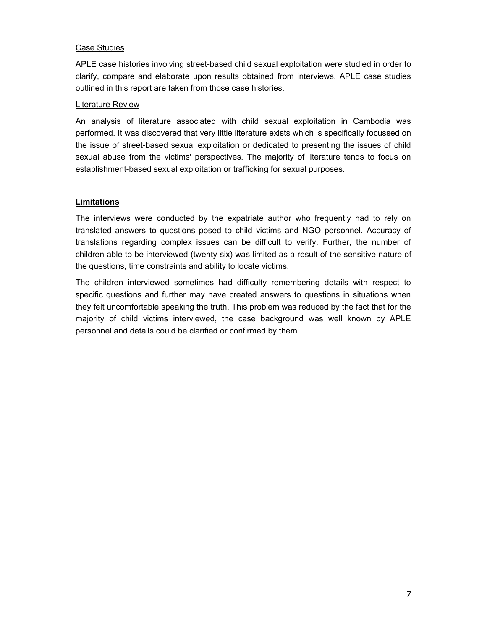#### Case Studies

APLE case histories involving street-based child sexual exploitation were studied in order to clarify, compare and elaborate upon results obtained from interviews. APLE case studies outlined in this report are taken from those case histories.

#### Literature Review

An analysis of literature associated with child sexual exploitation in Cambodia was performed. It was discovered that very little literature exists which is specifically focussed on the issue of street-based sexual exploitation or dedicated to presenting the issues of child sexual abuse from the victims' perspectives. The majority of literature tends to focus on establishment-based sexual exploitation or trafficking for sexual purposes.

#### **Limitations**

The interviews were conducted by the expatriate author who frequently had to rely on translated answers to questions posed to child victims and NGO personnel. Accuracy of translations regarding complex issues can be difficult to verify. Further, the number of children able to be interviewed (twenty-six) was limited as a result of the sensitive nature of the questions, time constraints and ability to locate victims.

The children interviewed sometimes had difficulty remembering details with respect to specific questions and further may have created answers to questions in situations when they felt uncomfortable speaking the truth. This problem was reduced by the fact that for the majority of child victims interviewed, the case background was well known by APLE personnel and details could be clarified or confirmed by them.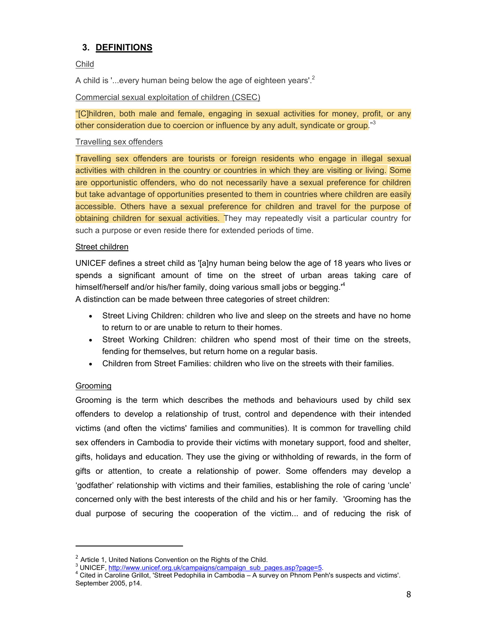# **3. DEFINITIONS**

Child

A child is '...every human being below the age of eighteen years'.<sup>2</sup>

Commercial sexual exploitation of children (CSEC)

"[C]hildren, both male and female, engaging in sexual activities for money, profit, or any other consideration due to coercion or influence by any adult, syndicate or group.<sup>"3</sup>

#### Travelling sex offenders

Travelling sex offenders are tourists or foreign residents who engage in illegal sexual activities with children in the country or countries in which they are visiting or living. Some are opportunistic offenders, who do not necessarily have a sexual preference for children but take advantage of opportunities presented to them in countries where children are easily accessible. Others have a sexual preference for children and travel for the purpose of obtaining children for sexual activities. They may repeatedly visit a particular country for such a purpose or even reside there for extended periods of time.

#### Street children

UNICEF defines a street child as '[a]ny human being below the age of 18 years who lives or spends a significant amount of time on the street of urban areas taking care of himself/herself and/or his/her family, doing various small jobs or begging.'<sup>4</sup>  A distinction can be made between three categories of street children:

- Street Living Children: children who live and sleep on the streets and have no home to return to or are unable to return to their homes.
- Street Working Children: children who spend most of their time on the streets, fending for themselves, but return home on a regular basis.
- Children from Street Families: children who live on the streets with their families.

#### Grooming

-

Grooming is the term which describes the methods and behaviours used by child sex offenders to develop a relationship of trust, control and dependence with their intended victims (and often the victims' families and communities). It is common for travelling child sex offenders in Cambodia to provide their victims with monetary support, food and shelter, gifts, holidays and education. They use the giving or withholding of rewards, in the form of gifts or attention, to create a relationship of power. Some offenders may develop a 'godfather' relationship with victims and their families, establishing the role of caring 'uncle' concerned only with the best interests of the child and his or her family. 'Grooming has the dual purpose of securing the cooperation of the victim... and of reducing the risk of

 $2$  Article 1, United Nations Convention on the Rights of the Child.

<sup>&</sup>lt;sup>3</sup> UNICEF, http://www.unicef.org.uk/campaigns/campaign\_sub\_pages.asp?page=5.

<sup>&</sup>lt;sup>4</sup> Cited in Caroline Grillot, 'Street Pedophilia in Cambodia – A survey on Phnom Penh's suspects and victims'. September 2005, p14.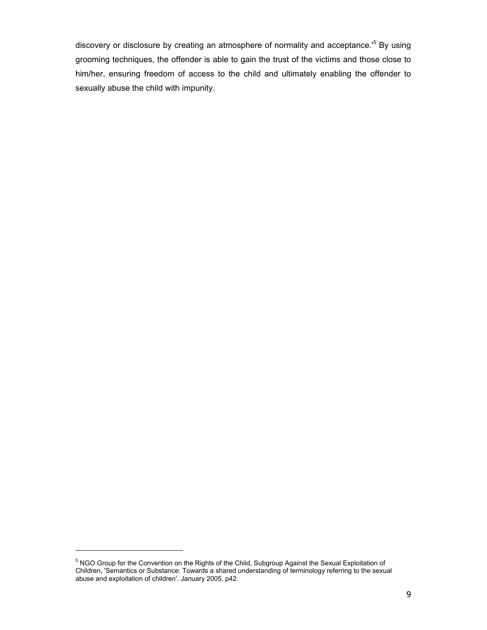discovery or disclosure by creating an atmosphere of normality and acceptance.<sup>5</sup> By using grooming techniques, the offender is able to gain the trust of the victims and those close to him/her, ensuring freedom of access to the child and ultimately enabling the offender to sexually abuse the child with impunity.

-

<sup>&</sup>lt;sup>5</sup> NGO Group for the Convention on the Rights of the Child, Subgroup Against the Sexual Exploitation of Children, 'Semantics or Substance: Towards a shared understanding of terminology referring to the sexual abuse and exploitation of children'. January 2005, p42.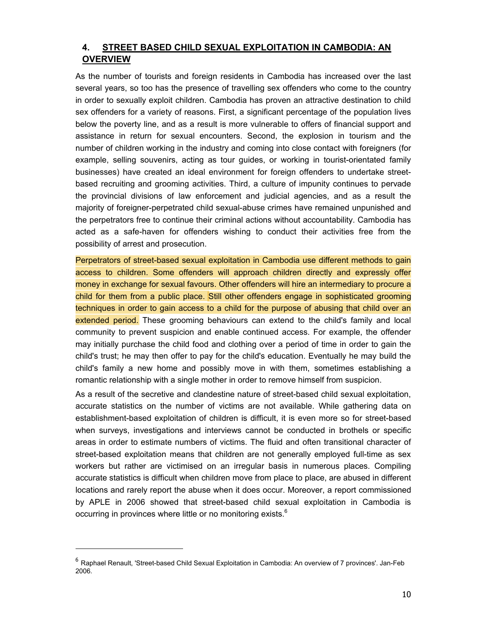# **4. STREET BASED CHILD SEXUAL EXPLOITATION IN CAMBODIA: AN OVERVIEW**

As the number of tourists and foreign residents in Cambodia has increased over the last several years, so too has the presence of travelling sex offenders who come to the country in order to sexually exploit children. Cambodia has proven an attractive destination to child sex offenders for a variety of reasons. First, a significant percentage of the population lives below the poverty line, and as a result is more vulnerable to offers of financial support and assistance in return for sexual encounters. Second, the explosion in tourism and the number of children working in the industry and coming into close contact with foreigners (for example, selling souvenirs, acting as tour guides, or working in tourist-orientated family businesses) have created an ideal environment for foreign offenders to undertake streetbased recruiting and grooming activities. Third, a culture of impunity continues to pervade the provincial divisions of law enforcement and judicial agencies, and as a result the majority of foreigner-perpetrated child sexual-abuse crimes have remained unpunished and the perpetrators free to continue their criminal actions without accountability. Cambodia has acted as a safe-haven for offenders wishing to conduct their activities free from the possibility of arrest and prosecution.

Perpetrators of street-based sexual exploitation in Cambodia use different methods to gain access to children. Some offenders will approach children directly and expressly offer money in exchange for sexual favours. Other offenders will hire an intermediary to procure a child for them from a public place. Still other offenders engage in sophisticated grooming techniques in order to gain access to a child for the purpose of abusing that child over an extended period. These grooming behaviours can extend to the child's family and local community to prevent suspicion and enable continued access. For example, the offender may initially purchase the child food and clothing over a period of time in order to gain the child's trust; he may then offer to pay for the child's education. Eventually he may build the child's family a new home and possibly move in with them, sometimes establishing a romantic relationship with a single mother in order to remove himself from suspicion.

As a result of the secretive and clandestine nature of street-based child sexual exploitation, accurate statistics on the number of victims are not available. While gathering data on establishment-based exploitation of children is difficult, it is even more so for street-based when surveys, investigations and interviews cannot be conducted in brothels or specific areas in order to estimate numbers of victims. The fluid and often transitional character of street-based exploitation means that children are not generally employed full-time as sex workers but rather are victimised on an irregular basis in numerous places. Compiling accurate statistics is difficult when children move from place to place, are abused in different locations and rarely report the abuse when it does occur. Moreover, a report commissioned by APLE in 2006 showed that street-based child sexual exploitation in Cambodia is occurring in provinces where little or no monitoring exists.<sup>6</sup>

<sup>6</sup> Raphael Renault, 'Street-based Child Sexual Exploitation in Cambodia: An overview of 7 provinces'. Jan-Feb 2006.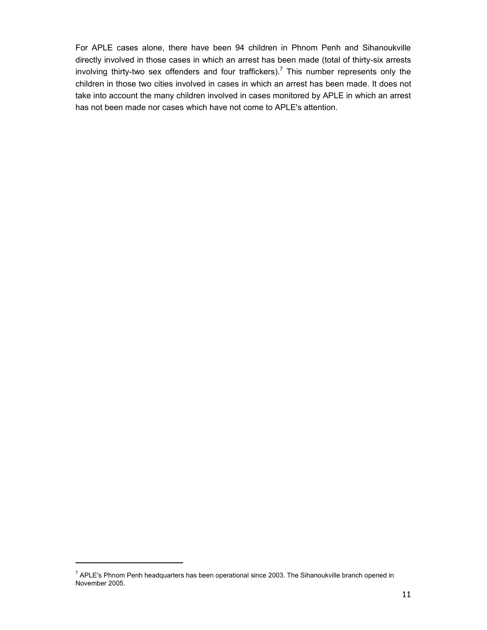For APLE cases alone, there have been 94 children in Phnom Penh and Sihanoukville directly involved in those cases in which an arrest has been made (total of thirty-six arrests involving thirty-two sex offenders and four traffickers).<sup>7</sup> This number represents only the children in those two cities involved in cases in which an arrest has been made. It does not take into account the many children involved in cases monitored by APLE in which an arrest has not been made nor cases which have not come to APLE's attention.

-

 $^7$  APLE's Phnom Penh headquarters has been operational since 2003. The Sihanoukville branch opened in November 2005.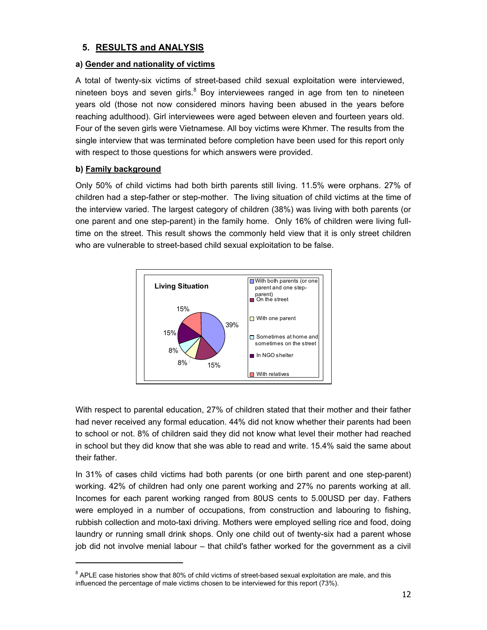# **5. RESULTS and ANALYSIS**

# **a) Gender and nationality of victims**

A total of twenty-six victims of street-based child sexual exploitation were interviewed, nineteen boys and seven girls. $8$  Boy interviewees ranged in age from ten to nineteen years old (those not now considered minors having been abused in the years before reaching adulthood). Girl interviewees were aged between eleven and fourteen years old. Four of the seven girls were Vietnamese. All boy victims were Khmer. The results from the single interview that was terminated before completion have been used for this report only with respect to those questions for which answers were provided.

# **b) Family background**

-

Only 50% of child victims had both birth parents still living. 11.5% were orphans. 27% of children had a step-father or step-mother. The living situation of child victims at the time of the interview varied. The largest category of children (38%) was living with both parents (or one parent and one step-parent) in the family home. Only 16% of children were living fulltime on the street. This result shows the commonly held view that it is only street children who are vulnerable to street-based child sexual exploitation to be false.



With respect to parental education, 27% of children stated that their mother and their father had never received any formal education. 44% did not know whether their parents had been to school or not. 8% of children said they did not know what level their mother had reached in school but they did know that she was able to read and write. 15.4% said the same about their father.

In 31% of cases child victims had both parents (or one birth parent and one step-parent) working. 42% of children had only one parent working and 27% no parents working at all. Incomes for each parent working ranged from 80US cents to 5.00USD per day. Fathers were employed in a number of occupations, from construction and labouring to fishing, rubbish collection and moto-taxi driving. Mothers were employed selling rice and food, doing laundry or running small drink shops. Only one child out of twenty-six had a parent whose job did not involve menial labour – that child's father worked for the government as a civil

 $8$  APLE case histories show that 80% of child victims of street-based sexual exploitation are male, and this influenced the percentage of male victims chosen to be interviewed for this report (73%).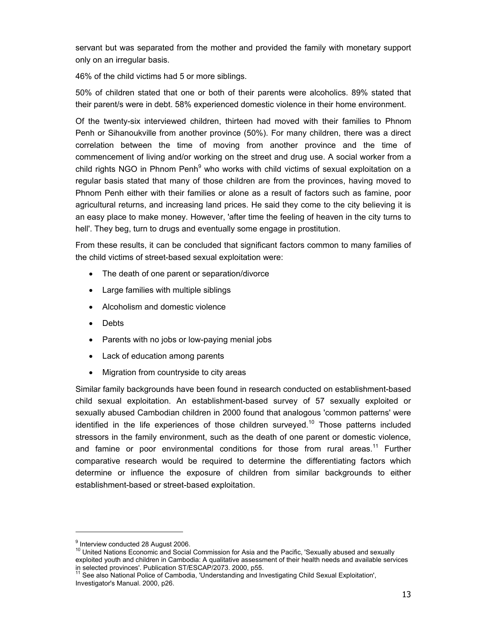servant but was separated from the mother and provided the family with monetary support only on an irregular basis.

46% of the child victims had 5 or more siblings.

50% of children stated that one or both of their parents were alcoholics. 89% stated that their parent/s were in debt. 58% experienced domestic violence in their home environment.

Of the twenty-six interviewed children, thirteen had moved with their families to Phnom Penh or Sihanoukville from another province (50%). For many children, there was a direct correlation between the time of moving from another province and the time of commencement of living and/or working on the street and drug use. A social worker from a child rights NGO in Phnom Penh<sup>9</sup> who works with child victims of sexual exploitation on a regular basis stated that many of those children are from the provinces, having moved to Phnom Penh either with their families or alone as a result of factors such as famine, poor agricultural returns, and increasing land prices. He said they come to the city believing it is an easy place to make money. However, 'after time the feeling of heaven in the city turns to hell'. They beg, turn to drugs and eventually some engage in prostitution.

From these results, it can be concluded that significant factors common to many families of the child victims of street-based sexual exploitation were:

- The death of one parent or separation/divorce
- Large families with multiple siblings
- Alcoholism and domestic violence
- Debts
- Parents with no jobs or low-paying menial jobs
- Lack of education among parents
- Migration from countryside to city areas

Similar family backgrounds have been found in research conducted on establishment-based child sexual exploitation. An establishment-based survey of 57 sexually exploited or sexually abused Cambodian children in 2000 found that analogous 'common patterns' were identified in the life experiences of those children surveyed.<sup>10</sup> Those patterns included stressors in the family environment, such as the death of one parent or domestic violence, and famine or poor environmental conditions for those from rural areas.<sup>11</sup> Further comparative research would be required to determine the differentiating factors which determine or influence the exposure of children from similar backgrounds to either establishment-based or street-based exploitation.

<sup>&</sup>lt;sup>9</sup> Interview conducted 28 August 2006.

<sup>&</sup>lt;sup>10</sup> United Nations Economic and Social Commission for Asia and the Pacific, 'Sexually abused and sexually exploited youth and children in Cambodia: A qualitative assessment of their health needs and available services

in selected provinces'. Publication ST/ESCAP/2073. 2000, p55.<br><sup>11</sup> See also National Police of Cambodia, 'Understanding and Investigating Child Sexual Exploitation', Investigator's Manual. 2000, p26.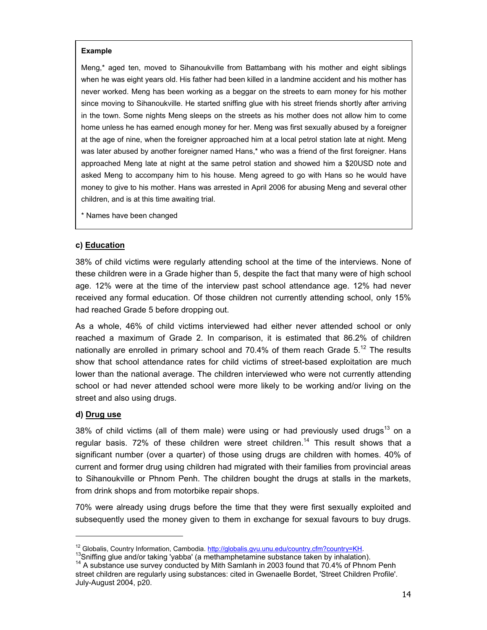#### **Example**

Meng,\* aged ten, moved to Sihanoukville from Battambang with his mother and eight siblings when he was eight years old. His father had been killed in a landmine accident and his mother has never worked. Meng has been working as a beggar on the streets to earn money for his mother since moving to Sihanoukville. He started sniffing glue with his street friends shortly after arriving in the town. Some nights Meng sleeps on the streets as his mother does not allow him to come home unless he has earned enough money for her. Meng was first sexually abused by a foreigner at the age of nine, when the foreigner approached him at a local petrol station late at night. Meng was later abused by another foreigner named Hans,\* who was a friend of the first foreigner. Hans approached Meng late at night at the same petrol station and showed him a \$20USD note and asked Meng to accompany him to his house. Meng agreed to go with Hans so he would have money to give to his mother. Hans was arrested in April 2006 for abusing Meng and several other children, and is at this time awaiting trial.

\* Names have been changed

### **c) Education**

38% of child victims were regularly attending school at the time of the interviews. None of these children were in a Grade higher than 5, despite the fact that many were of high school age. 12% were at the time of the interview past school attendance age. 12% had never received any formal education. Of those children not currently attending school, only 15% had reached Grade 5 before dropping out.

As a whole, 46% of child victims interviewed had either never attended school or only reached a maximum of Grade 2. In comparison, it is estimated that 86.2% of children nationally are enrolled in primary school and 70.4% of them reach Grade  $5.^{12}$  The results show that school attendance rates for child victims of street-based exploitation are much lower than the national average. The children interviewed who were not currently attending school or had never attended school were more likely to be working and/or living on the street and also using drugs.

#### **d) Drug use**

38% of child victims (all of them male) were using or had previously used drugs<sup>13</sup> on a regular basis. 72% of these children were street children.<sup>14</sup> This result shows that a significant number (over a quarter) of those using drugs are children with homes. 40% of current and former drug using children had migrated with their families from provincial areas to Sihanoukville or Phnom Penh. The children bought the drugs at stalls in the markets, from drink shops and from motorbike repair shops.

70% were already using drugs before the time that they were first sexually exploited and subsequently used the money given to them in exchange for sexual favours to buy drugs.

<sup>&</sup>lt;sup>12</sup> Globalis, Country Information, Cambodia. http://globalis.gvu.unu.edu/country.cfm?country=KH.<br><sup>13</sup>Sniffing glue and/or taking 'yabba' (a methamphetamine substance taken by inhalation).<br><sup>14</sup> A substance use survey cond street children are regularly using substances: cited in Gwenaelle Bordet, 'Street Children Profile'. July-August 2004, p20.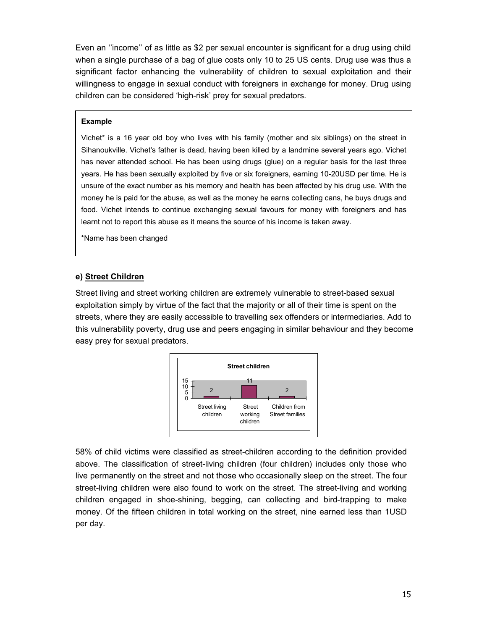Even an ''income'' of as little as \$2 per sexual encounter is significant for a drug using child when a single purchase of a bag of glue costs only 10 to 25 US cents. Drug use was thus a significant factor enhancing the vulnerability of children to sexual exploitation and their willingness to engage in sexual conduct with foreigners in exchange for money. Drug using children can be considered 'high-risk' prey for sexual predators.

#### **Example**

Vichet\* is a 16 year old boy who lives with his family (mother and six siblings) on the street in Sihanoukville. Vichet's father is dead, having been killed by a landmine several years ago. Vichet has never attended school. He has been using drugs (glue) on a regular basis for the last three years. He has been sexually exploited by five or six foreigners, earning 10-20USD per time. He is unsure of the exact number as his memory and health has been affected by his drug use. With the money he is paid for the abuse, as well as the money he earns collecting cans, he buys drugs and food. Vichet intends to continue exchanging sexual favours for money with foreigners and has learnt not to report this abuse as it means the source of his income is taken away.

\*Name has been changed

#### **e) Street Children**

Street living and street working children are extremely vulnerable to street-based sexual exploitation simply by virtue of the fact that the majority or all of their time is spent on the streets, where they are easily accessible to travelling sex offenders or intermediaries. Add to this vulnerability poverty, drug use and peers engaging in similar behaviour and they become easy prey for sexual predators.



58% of child victims were classified as street-children according to the definition provided above. The classification of street-living children (four children) includes only those who live permanently on the street and not those who occasionally sleep on the street. The four street-living children were also found to work on the street. The street-living and working children engaged in shoe-shining, begging, can collecting and bird-trapping to make money. Of the fifteen children in total working on the street, nine earned less than 1USD per day.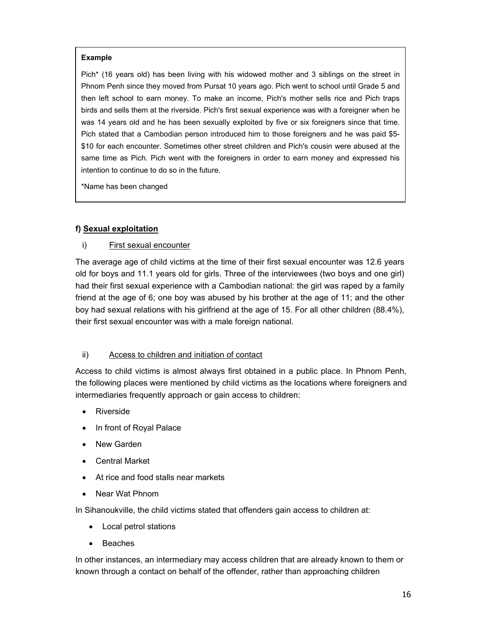#### **Example**

Pich\* (16 years old) has been living with his widowed mother and 3 siblings on the street in Phnom Penh since they moved from Pursat 10 years ago. Pich went to school until Grade 5 and then left school to earn money. To make an income, Pich's mother sells rice and Pich traps birds and sells them at the riverside. Pich's first sexual experience was with a foreigner when he was 14 years old and he has been sexually exploited by five or six foreigners since that time. Pich stated that a Cambodian person introduced him to those foreigners and he was paid \$5- \$10 for each encounter. Sometimes other street children and Pich's cousin were abused at the same time as Pich. Pich went with the foreigners in order to earn money and expressed his intention to continue to do so in the future.

\*Name has been changed

#### **f) Sexual exploitation**

#### i) First sexual encounter

The average age of child victims at the time of their first sexual encounter was 12.6 years old for boys and 11.1 years old for girls. Three of the interviewees (two boys and one girl) had their first sexual experience with a Cambodian national: the girl was raped by a family friend at the age of 6; one boy was abused by his brother at the age of 11; and the other boy had sexual relations with his girlfriend at the age of 15. For all other children (88.4%), their first sexual encounter was with a male foreign national.

#### ii) Access to children and initiation of contact

Access to child victims is almost always first obtained in a public place. In Phnom Penh, the following places were mentioned by child victims as the locations where foreigners and intermediaries frequently approach or gain access to children:

- Riverside
- In front of Royal Palace
- New Garden
- Central Market
- At rice and food stalls near markets
- Near Wat Phnom

In Sihanoukville, the child victims stated that offenders gain access to children at:

- Local petrol stations
- Beaches

In other instances, an intermediary may access children that are already known to them or known through a contact on behalf of the offender, rather than approaching children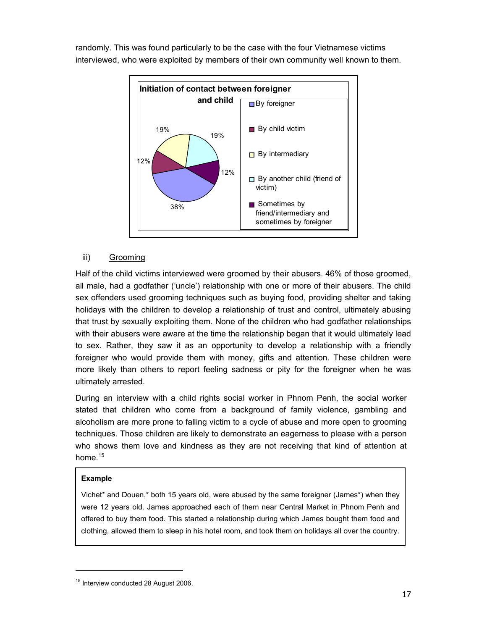randomly. This was found particularly to be the case with the four Vietnamese victims interviewed, who were exploited by members of their own community well known to them.



#### iii) Grooming

Half of the child victims interviewed were groomed by their abusers. 46% of those groomed, all male, had a godfather ('uncle') relationship with one or more of their abusers. The child sex offenders used grooming techniques such as buying food, providing shelter and taking holidays with the children to develop a relationship of trust and control, ultimately abusing that trust by sexually exploiting them. None of the children who had godfather relationships with their abusers were aware at the time the relationship began that it would ultimately lead to sex. Rather, they saw it as an opportunity to develop a relationship with a friendly foreigner who would provide them with money, gifts and attention. These children were more likely than others to report feeling sadness or pity for the foreigner when he was ultimately arrested.

During an interview with a child rights social worker in Phnom Penh, the social worker stated that children who come from a background of family violence, gambling and alcoholism are more prone to falling victim to a cycle of abuse and more open to grooming techniques. Those children are likely to demonstrate an eagerness to please with a person who shows them love and kindness as they are not receiving that kind of attention at home. $15$ 

#### **Example**

-

Vichet\* and Douen,\* both 15 years old, were abused by the same foreigner (James\*) when they were 12 years old. James approached each of them near Central Market in Phnom Penh and offered to buy them food. This started a relationship during which James bought them food and clothing, allowed them to sleep in his hotel room, and took them on holidays all over the country.

<sup>&</sup>lt;sup>15</sup> Interview conducted 28 August 2006.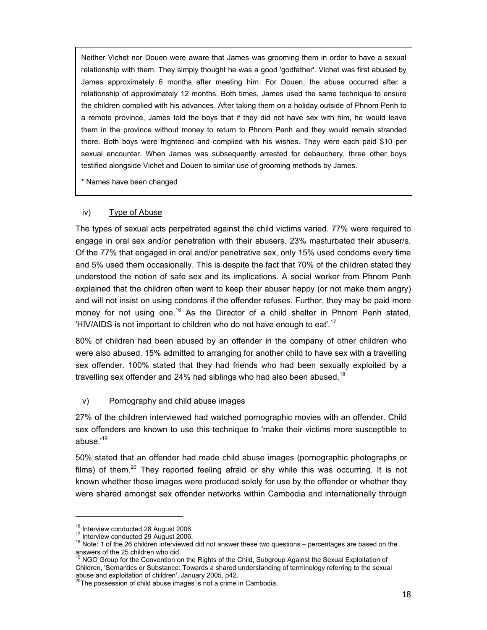Neither Vichet nor Douen were aware that James was grooming them in order to have a sexual relationship with them. They simply thought he was a good 'godfather'. Vichet was first abused by James approximately 6 months after meeting him. For Douen, the abuse occurred after a relationship of approximately 12 months. Both times, James used the same technique to ensure the children complied with his advances. After taking them on a holiday outside of Phnom Penh to a remote province, James told the boys that if they did not have sex with him, he would leave them in the province without money to return to Phnom Penh and they would remain stranded there. Both boys were frightened and complied with his wishes. They were each paid \$10 per sexual encounter. When James was subsequently arrested for debauchery, three other boys testified alongside Vichet and Douen to similar use of grooming methods by James.

\* Names have been changed

#### iv) Type of Abuse

The types of sexual acts perpetrated against the child victims varied. 77% were required to engage in oral sex and/or penetration with their abusers. 23% masturbated their abuser/s. Of the 77% that engaged in oral and/or penetrative sex, only 15% used condoms every time and 5% used them occasionally. This is despite the fact that 70% of the children stated they understood the notion of safe sex and its implications. A social worker from Phnom Penh explained that the children often want to keep their abuser happy (or not make them angry) and will not insist on using condoms if the offender refuses. Further, they may be paid more money for not using one.<sup>16</sup> As the Director of a child shelter in Phnom Penh stated, 'HIV/AIDS is not important to children who do not have enough to eat'.17

80% of children had been abused by an offender in the company of other children who were also abused. 15% admitted to arranging for another child to have sex with a travelling sex offender. 100% stated that they had friends who had been sexually exploited by a travelling sex offender and 24% had siblings who had also been abused.<sup>18</sup>

#### v) Pornography and child abuse images

27% of the children interviewed had watched pornographic movies with an offender. Child sex offenders are known to use this technique to 'make their victims more susceptible to abuse.'19

50% stated that an offender had made child abuse images (pornographic photographs or films) of them.<sup>20</sup> They reported feeling afraid or shy while this was occurring. It is not known whether these images were produced solely for use by the offender or whether they were shared amongst sex offender networks within Cambodia and internationally through

<sup>&</sup>lt;sup>16</sup> Interview conducted 28 August 2006.<br><sup>17</sup> Interview conducted 29 August 2006.<br><sup>18</sup> Note: 1 of the 26 children interviewed did not answer these two questions – percentages are based on the answers of the 25 children who did.<br><sup>19</sup> NGO Group for the Convention on the Rights of the Child, Subgroup Against the Sexual Exploitation of

Children, 'Semantics or Substance: Towards a shared understanding of terminology referring to the sexual abuse and exploitation of children'. January 2005, p42.

<sup>&</sup>lt;sup>20</sup>The possession of child abuse images is not a crime in Cambodia.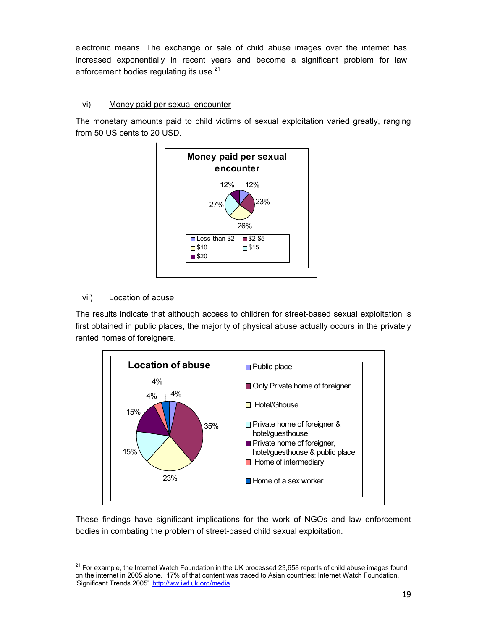electronic means. The exchange or sale of child abuse images over the internet has increased exponentially in recent years and become a significant problem for law enforcement bodies regulating its use.<sup>21</sup>

# vi) Money paid per sexual encounter

The monetary amounts paid to child victims of sexual exploitation varied greatly, ranging from 50 US cents to 20 USD.



# vii) Location of abuse

-

The results indicate that although access to children for street-based sexual exploitation is first obtained in public places, the majority of physical abuse actually occurs in the privately rented homes of foreigners.



These findings have significant implications for the work of NGOs and law enforcement bodies in combating the problem of street-based child sexual exploitation.

<sup>&</sup>lt;sup>21</sup> For example, the Internet Watch Foundation in the UK processed 23,658 reports of child abuse images found on the internet in 2005 alone. 17% of that content was traced to Asian countries: Internet Watch Foundation, 'Significant Trends 2005'. http://ww.iwf.uk.org/media.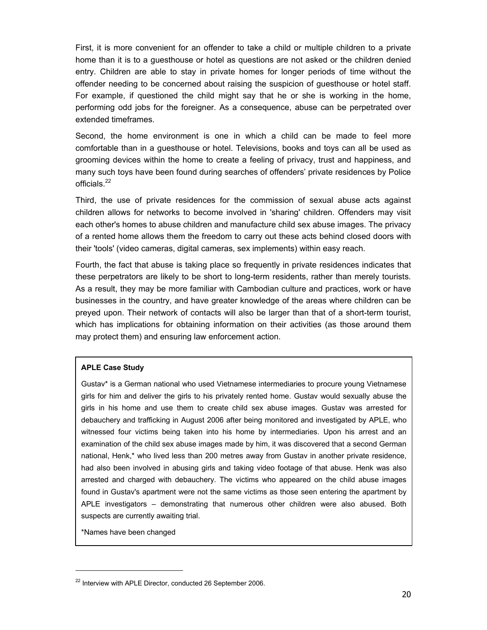First, it is more convenient for an offender to take a child or multiple children to a private home than it is to a guesthouse or hotel as questions are not asked or the children denied entry. Children are able to stay in private homes for longer periods of time without the offender needing to be concerned about raising the suspicion of guesthouse or hotel staff. For example, if questioned the child might say that he or she is working in the home, performing odd jobs for the foreigner. As a consequence, abuse can be perpetrated over extended timeframes.

Second, the home environment is one in which a child can be made to feel more comfortable than in a guesthouse or hotel. Televisions, books and toys can all be used as grooming devices within the home to create a feeling of privacy, trust and happiness, and many such toys have been found during searches of offenders' private residences by Police officials.<sup>22</sup>

Third, the use of private residences for the commission of sexual abuse acts against children allows for networks to become involved in 'sharing' children. Offenders may visit each other's homes to abuse children and manufacture child sex abuse images. The privacy of a rented home allows them the freedom to carry out these acts behind closed doors with their 'tools' (video cameras, digital cameras, sex implements) within easy reach.

Fourth, the fact that abuse is taking place so frequently in private residences indicates that these perpetrators are likely to be short to long-term residents, rather than merely tourists. As a result, they may be more familiar with Cambodian culture and practices, work or have businesses in the country, and have greater knowledge of the areas where children can be preyed upon. Their network of contacts will also be larger than that of a short-term tourist, which has implications for obtaining information on their activities (as those around them may protect them) and ensuring law enforcement action.

#### **APLE Case Study**

Gustav\* is a German national who used Vietnamese intermediaries to procure young Vietnamese girls for him and deliver the girls to his privately rented home. Gustav would sexually abuse the girls in his home and use them to create child sex abuse images. Gustav was arrested for debauchery and trafficking in August 2006 after being monitored and investigated by APLE, who witnessed four victims being taken into his home by intermediaries. Upon his arrest and an examination of the child sex abuse images made by him, it was discovered that a second German national, Henk,\* who lived less than 200 metres away from Gustav in another private residence, had also been involved in abusing girls and taking video footage of that abuse. Henk was also arrested and charged with debauchery. The victims who appeared on the child abuse images found in Gustav's apartment were not the same victims as those seen entering the apartment by APLE investigators – demonstrating that numerous other children were also abused. Both suspects are currently awaiting trial.

\*Names have been changed

-

<sup>&</sup>lt;sup>22</sup> Interview with APLE Director, conducted 26 September 2006.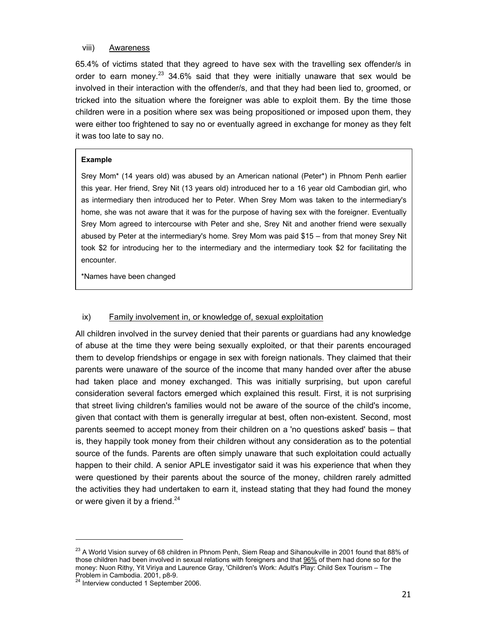#### viii) Awareness

65.4% of victims stated that they agreed to have sex with the travelling sex offender/s in order to earn money.<sup>23</sup> 34.6% said that they were initially unaware that sex would be involved in their interaction with the offender/s, and that they had been lied to, groomed, or tricked into the situation where the foreigner was able to exploit them. By the time those children were in a position where sex was being propositioned or imposed upon them, they were either too frightened to say no or eventually agreed in exchange for money as they felt it was too late to say no.

#### **Example**

Srey Mom\* (14 years old) was abused by an American national (Peter\*) in Phnom Penh earlier this year. Her friend, Srey Nit (13 years old) introduced her to a 16 year old Cambodian girl, who as intermediary then introduced her to Peter. When Srey Mom was taken to the intermediary's home, she was not aware that it was for the purpose of having sex with the foreigner. Eventually Srey Mom agreed to intercourse with Peter and she, Srey Nit and another friend were sexually abused by Peter at the intermediary's home. Srey Mom was paid \$15 – from that money Srey Nit took \$2 for introducing her to the intermediary and the intermediary took \$2 for facilitating the encounter.

\*Names have been changed

#### ix) Family involvement in, or knowledge of, sexual exploitation

All children involved in the survey denied that their parents or guardians had any knowledge of abuse at the time they were being sexually exploited, or that their parents encouraged them to develop friendships or engage in sex with foreign nationals. They claimed that their parents were unaware of the source of the income that many handed over after the abuse had taken place and money exchanged. This was initially surprising, but upon careful consideration several factors emerged which explained this result. First, it is not surprising that street living children's families would not be aware of the source of the child's income, given that contact with them is generally irregular at best, often non-existent. Second, most parents seemed to accept money from their children on a 'no questions asked' basis – that is, they happily took money from their children without any consideration as to the potential source of the funds. Parents are often simply unaware that such exploitation could actually happen to their child. A senior APLE investigator said it was his experience that when they were questioned by their parents about the source of the money, children rarely admitted the activities they had undertaken to earn it, instead stating that they had found the money or were given it by a friend.<sup>24</sup>

<sup>&</sup>lt;sup>23</sup> A World Vision survey of 68 children in Phnom Penh, Siem Reap and Sihanoukville in 2001 found that 88% of those children had been involved in sexual relations with foreigners and that 96% of them had done so for the money: Nuon Rithy, Yit Viriya and Laurence Gray, 'Children's Work: Adult's Play: Child Sex Tourism – The Problem in Cambodia. 2001, p8-9.

<sup>&</sup>lt;sup>24</sup> Interview conducted 1 September 2006.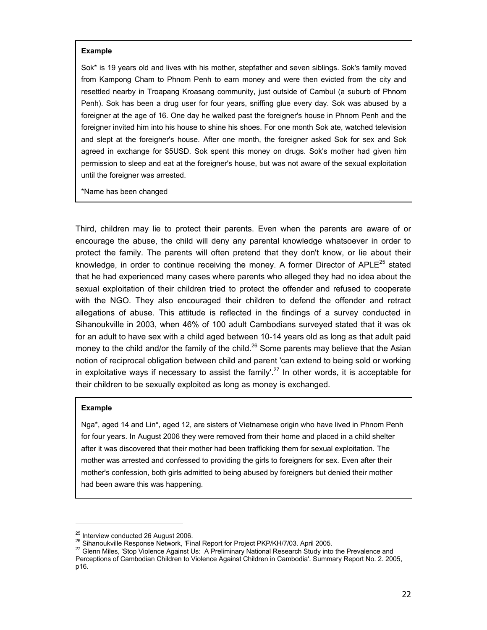#### **Example**

Sok\* is 19 years old and lives with his mother, stepfather and seven siblings. Sok's family moved from Kampong Cham to Phnom Penh to earn money and were then evicted from the city and resettled nearby in Troapang Kroasang community, just outside of Cambul (a suburb of Phnom Penh). Sok has been a drug user for four years, sniffing glue every day. Sok was abused by a foreigner at the age of 16. One day he walked past the foreigner's house in Phnom Penh and the foreigner invited him into his house to shine his shoes. For one month Sok ate, watched television and slept at the foreigner's house. After one month, the foreigner asked Sok for sex and Sok agreed in exchange for \$5USD. Sok spent this money on drugs. Sok's mother had given him permission to sleep and eat at the foreigner's house, but was not aware of the sexual exploitation until the foreigner was arrested.

\*Name has been changed

Third, children may lie to protect their parents. Even when the parents are aware of or encourage the abuse, the child will deny any parental knowledge whatsoever in order to protect the family. The parents will often pretend that they don't know, or lie about their knowledge, in order to continue receiving the money. A former Director of  $APLE^{25}$  stated that he had experienced many cases where parents who alleged they had no idea about the sexual exploitation of their children tried to protect the offender and refused to cooperate with the NGO. They also encouraged their children to defend the offender and retract allegations of abuse. This attitude is reflected in the findings of a survey conducted in Sihanoukville in 2003, when 46% of 100 adult Cambodians surveyed stated that it was ok for an adult to have sex with a child aged between 10-14 years old as long as that adult paid money to the child and/or the family of the child.<sup>26</sup> Some parents may believe that the Asian notion of reciprocal obligation between child and parent 'can extend to being sold or working in exploitative ways if necessary to assist the family'.<sup>27</sup> In other words, it is acceptable for their children to be sexually exploited as long as money is exchanged.

#### **Example**

-

Nga\*, aged 14 and Lin\*, aged 12, are sisters of Vietnamese origin who have lived in Phnom Penh for four years. In August 2006 they were removed from their home and placed in a child shelter after it was discovered that their mother had been trafficking them for sexual exploitation. The mother was arrested and confessed to providing the girls to foreigners for sex. Even after their mother's confession, both girls admitted to being abused by foreigners but denied their mother had been aware this was happening.

<sup>&</sup>lt;sup>25</sup> Interview conducted 26 August 2006.<br><sup>26</sup> Sihanoukville Response Network, 'Final Report for Project PKP/KH/7/03. April 2005.<br><sup>27</sup> Glenn Miles, 'Stop Violence Against Us: A Preliminary National Research Study into the Perceptions of Cambodian Children to Violence Against Children in Cambodia'. Summary Report No. 2. 2005, p16.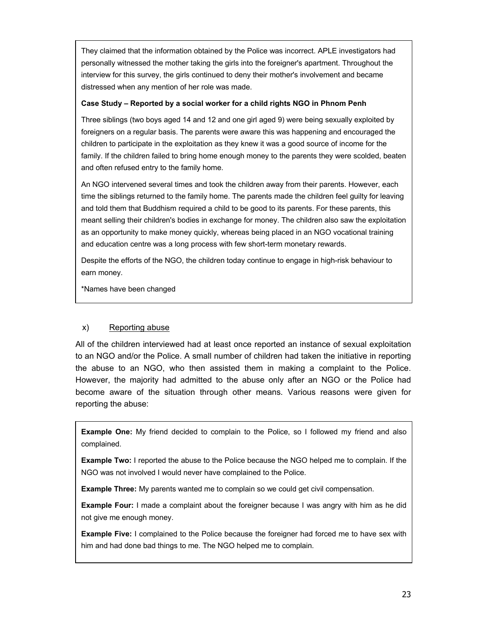They claimed that the information obtained by the Police was incorrect. APLE investigators had personally witnessed the mother taking the girls into the foreigner's apartment. Throughout the interview for this survey, the girls continued to deny their mother's involvement and became distressed when any mention of her role was made.

#### **Case Study – Reported by a social worker for a child rights NGO in Phnom Penh**

Three siblings (two boys aged 14 and 12 and one girl aged 9) were being sexually exploited by foreigners on a regular basis. The parents were aware this was happening and encouraged the children to participate in the exploitation as they knew it was a good source of income for the family. If the children failed to bring home enough money to the parents they were scolded, beaten and often refused entry to the family home.

An NGO intervened several times and took the children away from their parents. However, each time the siblings returned to the family home. The parents made the children feel guilty for leaving and told them that Buddhism required a child to be good to its parents. For these parents, this meant selling their children's bodies in exchange for money. The children also saw the exploitation as an opportunity to make money quickly, whereas being placed in an NGO vocational training and education centre was a long process with few short-term monetary rewards.

Despite the efforts of the NGO, the children today continue to engage in high-risk behaviour to earn money.

\*Names have been changed

#### x) Reporting abuse

All of the children interviewed had at least once reported an instance of sexual exploitation to an NGO and/or the Police. A small number of children had taken the initiative in reporting the abuse to an NGO, who then assisted them in making a complaint to the Police. However, the majority had admitted to the abuse only after an NGO or the Police had become aware of the situation through other means. Various reasons were given for reporting the abuse:

**Example One:** My friend decided to complain to the Police, so I followed my friend and also complained.

**Example Two:** I reported the abuse to the Police because the NGO helped me to complain. If the NGO was not involved I would never have complained to the Police.

**Example Three:** My parents wanted me to complain so we could get civil compensation.

**Example Four:** I made a complaint about the foreigner because I was angry with him as he did not give me enough money.

**Example Five:** I complained to the Police because the foreigner had forced me to have sex with him and had done bad things to me. The NGO helped me to complain.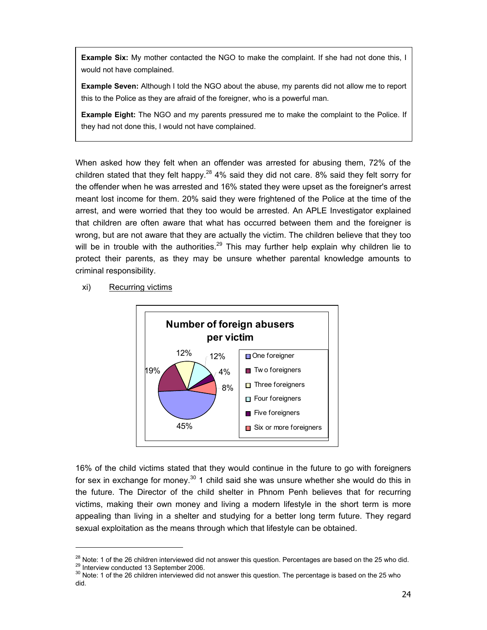**Example Six:** My mother contacted the NGO to make the complaint. If she had not done this, I would not have complained.

**Example Seven:** Although I told the NGO about the abuse, my parents did not allow me to report this to the Police as they are afraid of the foreigner, who is a powerful man.

**Example Eight:** The NGO and my parents pressured me to make the complaint to the Police. If they had not done this, I would not have complained.

When asked how they felt when an offender was arrested for abusing them, 72% of the children stated that they felt happy.<sup>28</sup> 4% said they did not care. 8% said they felt sorry for the offender when he was arrested and 16% stated they were upset as the foreigner's arrest meant lost income for them. 20% said they were frightened of the Police at the time of the arrest, and were worried that they too would be arrested. An APLE Investigator explained that children are often aware that what has occurred between them and the foreigner is wrong, but are not aware that they are actually the victim. The children believe that they too will be in trouble with the authorities.<sup>29</sup> This may further help explain why children lie to protect their parents, as they may be unsure whether parental knowledge amounts to criminal responsibility.

xi) Recurring victims



16% of the child victims stated that they would continue in the future to go with foreigners for sex in exchange for money.<sup>30</sup> 1 child said she was unsure whether she would do this in the future. The Director of the child shelter in Phnom Penh believes that for recurring victims, making their own money and living a modern lifestyle in the short term is more appealing than living in a shelter and studying for a better long term future. They regard sexual exploitation as the means through which that lifestyle can be obtained.

<sup>&</sup>lt;sup>28</sup> Note: 1 of the 26 children interviewed did not answer this question. Percentages are based on the 25 who did.<br><sup>29</sup> Interview conducted 13 September 2006.<br><sup>30</sup> Note: 1 of the 26 children interviewed did not answer thi

did.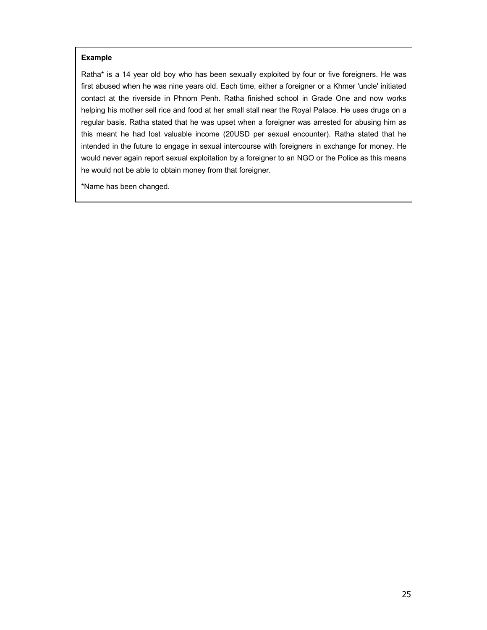#### **Example**

Ratha\* is a 14 year old boy who has been sexually exploited by four or five foreigners. He was first abused when he was nine years old. Each time, either a foreigner or a Khmer 'uncle' initiated contact at the riverside in Phnom Penh. Ratha finished school in Grade One and now works helping his mother sell rice and food at her small stall near the Royal Palace. He uses drugs on a regular basis. Ratha stated that he was upset when a foreigner was arrested for abusing him as this meant he had lost valuable income (20USD per sexual encounter). Ratha stated that he intended in the future to engage in sexual intercourse with foreigners in exchange for money. He would never again report sexual exploitation by a foreigner to an NGO or the Police as this means he would not be able to obtain money from that foreigner.

\*Name has been changed.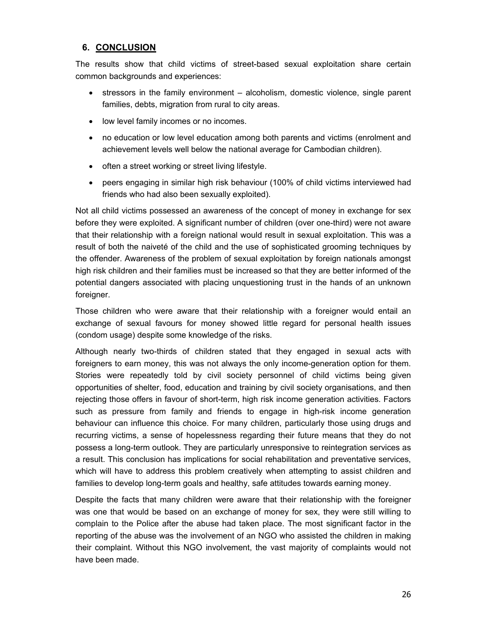# **6. CONCLUSION**

The results show that child victims of street-based sexual exploitation share certain common backgrounds and experiences:

- stressors in the family environment alcoholism, domestic violence, single parent families, debts, migration from rural to city areas.
- low level family incomes or no incomes.
- no education or low level education among both parents and victims (enrolment and achievement levels well below the national average for Cambodian children).
- often a street working or street living lifestyle.
- peers engaging in similar high risk behaviour (100% of child victims interviewed had friends who had also been sexually exploited).

Not all child victims possessed an awareness of the concept of money in exchange for sex before they were exploited. A significant number of children (over one-third) were not aware that their relationship with a foreign national would result in sexual exploitation. This was a result of both the naiveté of the child and the use of sophisticated grooming techniques by the offender. Awareness of the problem of sexual exploitation by foreign nationals amongst high risk children and their families must be increased so that they are better informed of the potential dangers associated with placing unquestioning trust in the hands of an unknown foreigner.

Those children who were aware that their relationship with a foreigner would entail an exchange of sexual favours for money showed little regard for personal health issues (condom usage) despite some knowledge of the risks.

Although nearly two-thirds of children stated that they engaged in sexual acts with foreigners to earn money, this was not always the only income-generation option for them. Stories were repeatedly told by civil society personnel of child victims being given opportunities of shelter, food, education and training by civil society organisations, and then rejecting those offers in favour of short-term, high risk income generation activities. Factors such as pressure from family and friends to engage in high-risk income generation behaviour can influence this choice. For many children, particularly those using drugs and recurring victims, a sense of hopelessness regarding their future means that they do not possess a long-term outlook. They are particularly unresponsive to reintegration services as a result. This conclusion has implications for social rehabilitation and preventative services, which will have to address this problem creatively when attempting to assist children and families to develop long-term goals and healthy, safe attitudes towards earning money.

Despite the facts that many children were aware that their relationship with the foreigner was one that would be based on an exchange of money for sex, they were still willing to complain to the Police after the abuse had taken place. The most significant factor in the reporting of the abuse was the involvement of an NGO who assisted the children in making their complaint. Without this NGO involvement, the vast majority of complaints would not have been made.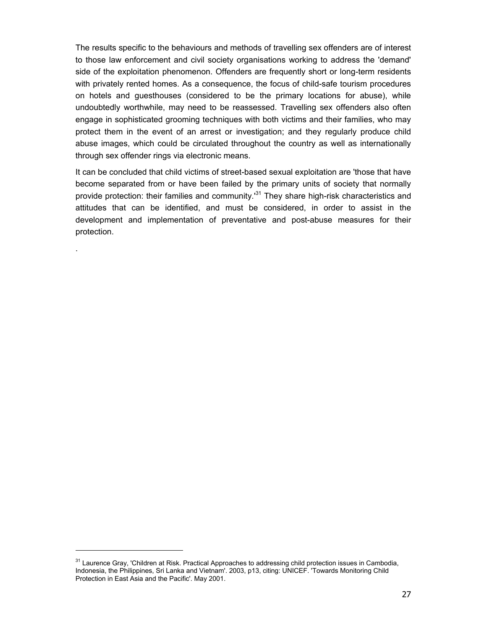The results specific to the behaviours and methods of travelling sex offenders are of interest to those law enforcement and civil society organisations working to address the 'demand' side of the exploitation phenomenon. Offenders are frequently short or long-term residents with privately rented homes. As a consequence, the focus of child-safe tourism procedures on hotels and guesthouses (considered to be the primary locations for abuse), while undoubtedly worthwhile, may need to be reassessed. Travelling sex offenders also often engage in sophisticated grooming techniques with both victims and their families, who may protect them in the event of an arrest or investigation; and they regularly produce child abuse images, which could be circulated throughout the country as well as internationally through sex offender rings via electronic means.

It can be concluded that child victims of street-based sexual exploitation are 'those that have become separated from or have been failed by the primary units of society that normally provide protection: their families and community.<sup>31</sup> They share high-risk characteristics and attitudes that can be identified, and must be considered, in order to assist in the development and implementation of preventative and post-abuse measures for their protection.

.

-

<sup>&</sup>lt;sup>31</sup> Laurence Gray, 'Children at Risk. Practical Approaches to addressing child protection issues in Cambodia, Indonesia, the Philippines, Sri Lanka and Vietnam'. 2003, p13, citing: UNICEF. 'Towards Monitoring Child Protection in East Asia and the Pacific'. May 2001.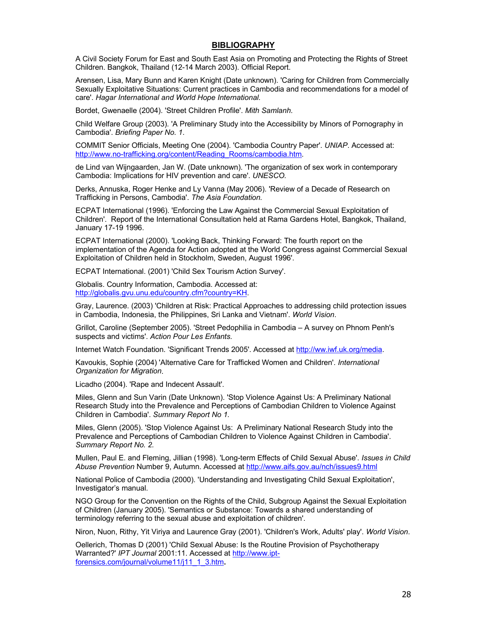#### **BIBLIOGRAPHY**

A Civil Society Forum for East and South East Asia on Promoting and Protecting the Rights of Street Children. Bangkok, Thailand (12-14 March 2003). Official Report.

Arensen, Lisa, Mary Bunn and Karen Knight (Date unknown). 'Caring for Children from Commercially Sexually Exploitative Situations: Current practices in Cambodia and recommendations for a model of care'. *Hagar International and World Hope International.* 

Bordet, Gwenaelle (2004). 'Street Children Profile'. *Mith Samlanh.* 

Child Welfare Group (2003). 'A Preliminary Study into the Accessibility by Minors of Pornography in Cambodia'. *Briefing Paper No. 1*.

COMMIT Senior Officials, Meeting One (2004). 'Cambodia Country Paper'. *UNIAP*. Accessed at: http://www.no-trafficking.org/content/Reading\_Rooms/cambodia.htm.

de Lind van Wijngaarden, Jan W. (Date unknown). 'The organization of sex work in contemporary Cambodia: Implications for HIV prevention and care'. *UNESCO.* 

Derks, Annuska, Roger Henke and Ly Vanna (May 2006). 'Review of a Decade of Research on Trafficking in Persons, Cambodia'. *The Asia Foundation.* 

ECPAT International (1996). 'Enforcing the Law Against the Commercial Sexual Exploitation of Children'. Report of the International Consultation held at Rama Gardens Hotel, Bangkok, Thailand, January 17-19 1996.

ECPAT International (2000). 'Looking Back, Thinking Forward: The fourth report on the implementation of the Agenda for Action adopted at the World Congress against Commercial Sexual Exploitation of Children held in Stockholm, Sweden, August 1996'.

ECPAT International. (2001) 'Child Sex Tourism Action Survey'.

Globalis. Country Information, Cambodia. Accessed at: http://globalis.gvu.unu.edu/country.cfm?country=KH.

Gray, Laurence. (2003) 'Children at Risk: Practical Approaches to addressing child protection issues in Cambodia, Indonesia, the Philippines, Sri Lanka and Vietnam'. *World Vision*.

Grillot, Caroline (September 2005). 'Street Pedophilia in Cambodia – A survey on Phnom Penh's suspects and victims'. *Action Pour Les Enfants.* 

Internet Watch Foundation. 'Significant Trends 2005'. Accessed at http://ww.iwf.uk.org/media.

Kavoukis, Sophie (2004) 'Alternative Care for Trafficked Women and Children'. *International Organization for Migration*.

Licadho (2004). 'Rape and Indecent Assault'.

Miles, Glenn and Sun Varin (Date Unknown). 'Stop Violence Against Us: A Preliminary National Research Study into the Prevalence and Perceptions of Cambodian Children to Violence Against Children in Cambodia'. *Summary Report No 1.*

Miles, Glenn (2005). 'Stop Violence Against Us: A Preliminary National Research Study into the Prevalence and Perceptions of Cambodian Children to Violence Against Children in Cambodia'. *Summary Report No. 2.*

Mullen, Paul E. and Fleming, Jillian (1998). 'Long-term Effects of Child Sexual Abuse'. *Issues in Child Abuse Prevention* Number 9, Autumn. Accessed at http://www.aifs.gov.au/nch/issues9.html

National Police of Cambodia (2000). 'Understanding and Investigating Child Sexual Exploitation', Investigator's manual.

NGO Group for the Convention on the Rights of the Child, Subgroup Against the Sexual Exploitation of Children (January 2005). 'Semantics or Substance: Towards a shared understanding of terminology referring to the sexual abuse and exploitation of children'.

Niron, Nuon, Rithy, Yit Viriya and Laurence Gray (2001). 'Children's Work, Adults' play'. *World Vision*.

Oellerich, Thomas D (2001) 'Child Sexual Abuse: Is the Routine Provision of Psychotherapy Warranted?' *IPT Journal* 2001:11. Accessed at http://www.iptforensics.com/journal/volume11/j11\_1\_3.htm**.**